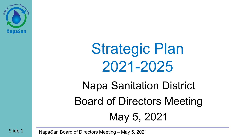

## Strategic Plan 2021-2025

Napa Sanitation District Board of Directors Meeting May 5, 2021

Slide 1 NapaSan Board of Directors Meeting – May 5, 2021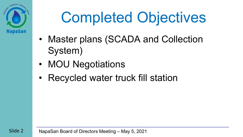

# Completed Objectives

- Master plans (SCADA and Collection System)
- MOU Negotiations
- Recycled water truck fill station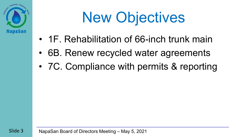

# New Objectives

- 1F. Rehabilitation of 66-inch trunk main
- 6B. Renew recycled water agreements
- 7C. Compliance with permits & reporting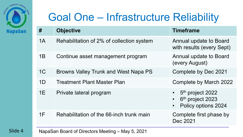

#### Goal One – Infrastructure Reliability

| #              | <b>Objective</b>                            | <b>Timeframe</b>                                                                                 |
|----------------|---------------------------------------------|--------------------------------------------------------------------------------------------------|
| 1A             | Rehabilitation of 2% of collection system   | Annual update to Board<br>with results (every Sept)                                              |
| 1B             | Continue asset management program           | Annual update to Board<br>(every August)                                                         |
| 1 <sup>C</sup> | <b>Browns Valley Trunk and West Napa PS</b> | Complete by Dec 2021                                                                             |
| 1 <sub>D</sub> | <b>Treatment Plant Master Plan</b>          | Complete by March 2022                                                                           |
| 1E             | Private lateral program                     | 5 <sup>th</sup> project 2022<br>6 <sup>th</sup> project 2023<br>Policy options 2024<br>$\bullet$ |
| 1F             | Rehabilitation of the 66-inch trunk main    | Complete first phase by<br>Dec 2021                                                              |

Slide 4 NapaSan Board of Directors Meeting – May 5, 2021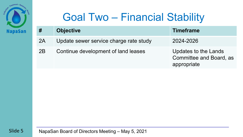

#### Goal Two – Financial Stability

| #  | <b>Objective</b>                       | <b>Timeframe</b>                                                      |
|----|----------------------------------------|-----------------------------------------------------------------------|
| 2A | Update sewer service charge rate study | 2024-2026                                                             |
| 2B | Continue development of land leases    | Updates to the Lands<br><b>Committee and Board, as</b><br>appropriate |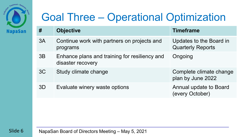

#### Goal Three – Operational Optimization

| #  | <b>Objective</b>                                                   | <b>Timeframe</b>                                    |
|----|--------------------------------------------------------------------|-----------------------------------------------------|
| 3A | Continue work with partners on projects and<br>programs            | Updates to the Board in<br><b>Quarterly Reports</b> |
| 3B | Enhance plans and training for resiliency and<br>disaster recovery | Ongoing                                             |
| 3C | Study climate change                                               | Complete climate change<br>plan by June 2022        |
| 3D | Evaluate winery waste options                                      | Annual update to Board<br>(every October)           |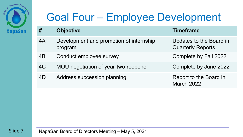

#### Goal Four – Employee Development

| #  | <b>Objective</b>                                   | <b>Timeframe</b>                                    |
|----|----------------------------------------------------|-----------------------------------------------------|
| 4A | Development and promotion of internship<br>program | Updates to the Board in<br><b>Quarterly Reports</b> |
| 4B | Conduct employee survey                            | Complete by Fall 2022                               |
| 4C | MOU negotiation of year-two reopener               | Complete by June 2022                               |
| 4D | Address succession planning                        | Report to the Board in<br><b>March 2022</b>         |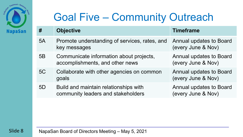

#### Goal Five – Community Outreach

| #  | <b>Objective</b>                                                            | <b>Timeframe</b>                                     |
|----|-----------------------------------------------------------------------------|------------------------------------------------------|
| 5A | Promote understanding of services, rates, and<br>key messages               | <b>Annual updates to Board</b><br>(every June & Nov) |
| 5B | Communicate information about projects,<br>accomplishments, and other news  | <b>Annual updates to Board</b><br>(every June & Nov) |
| 5C | Collaborate with other agencies on common<br>goals                          | Annual updates to Board<br>(every June & Nov)        |
| 5D | Build and maintain relationships with<br>community leaders and stakeholders | <b>Annual updates to Board</b><br>(every June & Nov) |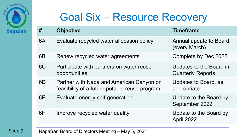

#### Goal Six – Resource Recovery

| #              | <b>Objective</b>                                                                          | <b>Timeframe</b>                                    |
|----------------|-------------------------------------------------------------------------------------------|-----------------------------------------------------|
| 6A             | Evaluate recycled water allocation policy                                                 | Annual update to Board<br>(every March)             |
| 6 <sub>B</sub> | Renew recycled water agreements                                                           | Complete by Dec 2022                                |
| 6C             | Participate with partners on water reuse<br>opportunities                                 | Updates to the Board in<br><b>Quarterly Reports</b> |
| 6D             | Partner with Napa and American Canyon on<br>feasibility of a future potable reuse program | Updates to Board, as<br>appropriate                 |
| 6E             | Evaluate energy self-generation                                                           | Update to the Board by<br>September 2022            |
| 6F             | Improve recycled water quality                                                            | Update to the Board by<br>April 2022                |

Slide 9 NapaSan Board of Directors Meeting – May 5, 2021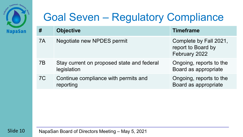

#### Goal Seven – Regulatory Compliance

| #  | <b>Objective</b>                                          | <b>Timeframe</b>                                              |
|----|-----------------------------------------------------------|---------------------------------------------------------------|
| 7A | Negotiate new NPDES permit                                | Complete by Fall 2021,<br>report to Board by<br>February 2022 |
| 7B | Stay current on proposed state and federal<br>legislation | Ongoing, reports to the<br>Board as appropriate               |
| 7C | Continue compliance with permits and<br>reporting         | Ongoing, reports to the<br>Board as appropriate               |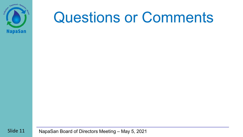

### Questions or Comments